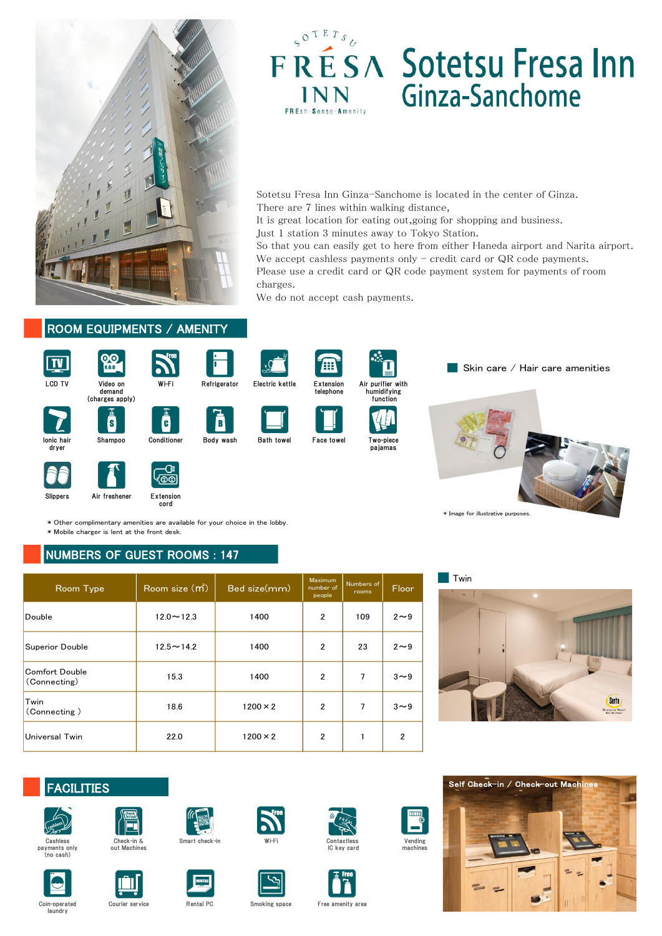



# **FRESA** Sotetsu Fresa Inn **INN** Ginza-Sanchome

| V.0.0<br>LCD TV<br>Video on<br>demand<br>(charges apply)                                                                                                   | Wi-Fi                                           | Refrigerator<br>Electric kettle | 8<br>Extension<br>telephone |                | Air purifier with<br>humidifying<br>function | Skin care / Ha                     |
|------------------------------------------------------------------------------------------------------------------------------------------------------------|-------------------------------------------------|---------------------------------|-----------------------------|----------------|----------------------------------------------|------------------------------------|
| S<br>lonic hair<br>Shampoo<br>dryer                                                                                                                        | $\mathbf{G}$<br>Conditioner                     | <b>Bath towel</b><br>Body wash  | <b>Face towel</b>           | pajamas        | Two-piece                                    |                                    |
| Air freshener<br>Slippers                                                                                                                                  | <b>Extension</b>                                |                                 |                             |                |                                              |                                    |
|                                                                                                                                                            | cord                                            |                                 |                             |                |                                              | * Image for illustrative purposes. |
| * Other complimentary amenities are available for your choice in the lobby.<br>* Mobile charger is lent at the front desk.<br>NUMBERS OF GUEST ROOMS : 147 |                                                 | Bed size(mm)                    | Maximum<br>number of        | Numbers of     |                                              | Twin                               |
| Room Type                                                                                                                                                  | Room size (m <sup>2</sup> )<br>$12.0 \sim 12.3$ | 1400                            | people<br>$\overline{2}$    | rooms<br>109   | <b>Floor</b><br>$2\sim9$                     |                                    |
|                                                                                                                                                            | $12.5 - 14.2$                                   | 1400                            | $\overline{2}$              | 23             | $2\sim9$                                     |                                    |
|                                                                                                                                                            | 15.3                                            | 1400                            | 2                           | 7              | $3\sim9$                                     |                                    |
| Double<br><b>Superior Double</b><br><b>Comfort Double</b><br>(Connecting)<br>Twin<br>(Connecting)                                                          | 18.6                                            | $1200 \times 2$                 | $\mathbf{2}$                | $\overline{7}$ | $3\sim9$                                     |                                    |





Sotetsu Fresa Inn Ginza-Sanchome is located in the center of Ginza. There are 7 lines within walking distance,

It is great location for eating out,going for shopping and business.

Just 1 station 3 minutes away to Tokyo Station.

So that you can easily get to here from either Haneda airport and Narita airport. We accept cashless payments only  $-$  credit card or QR code payments. Please use a credit card or QR code payment system for payments of room

charges. We do not accept cash payments.









Vending machines



Cashless payments only (no cash)



Wi-Fi Contactless IC key card





Smart check-in







Coin-operated Courier service Rental PC Smoking space Free amenity area



laundry



Body wash Bath towel Face towel





 $\blacksquare$  Skin care / Hair care amenities





LCD TV Video on Wi-Fi demand (charges apply)